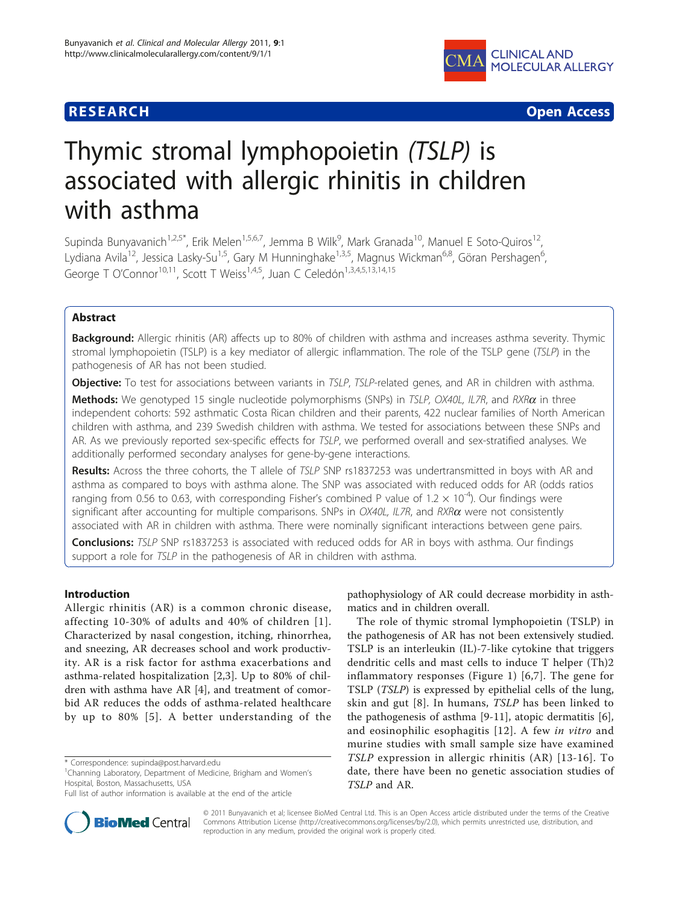# **RESEARCH CONTROL** CONTROL CONTROL CONTROL CONTROL CONTROL CONTROL CONTROL CONTROL CONTROL CONTROL CONTROL CONTROL



# Thymic stromal lymphopoietin (TSLP) is associated with allergic rhinitis in children with asthma

Supinda Bunyavanich<sup>1,2,5\*</sup>, Erik Melen<sup>1,5,6,7</sup>, Jemma B Wilk<sup>9</sup>, Mark Granada<sup>10</sup>, Manuel E Soto-Quiros<sup>12</sup>, Lydiana Avila<sup>12</sup>, Jessica Lasky-Su<sup>1,5</sup>, Gary M Hunninghake<sup>1,3,5</sup>, Magnus Wickman<sup>6,8</sup>, Göran Pershagen<sup>6</sup>, , George T O'Connor<sup>10,11</sup>, Scott T Weiss<sup>1,4,5</sup>, Juan C Celedón<sup>1,3,4,5,13,14,15</sup>

# Abstract

Background: Allergic rhinitis (AR) affects up to 80% of children with asthma and increases asthma severity. Thymic stromal lymphopoietin (TSLP) is a key mediator of allergic inflammation. The role of the TSLP gene (TSLP) in the pathogenesis of AR has not been studied.

Objective: To test for associations between variants in TSLP, TSLP-related genes, and AR in children with asthma.

**Methods:** We genotyped 15 single nucleotide polymorphisms (SNPs) in TSLP, OX40L, IL7R, and RXR $\alpha$  in three independent cohorts: 592 asthmatic Costa Rican children and their parents, 422 nuclear families of North American children with asthma, and 239 Swedish children with asthma. We tested for associations between these SNPs and AR. As we previously reported sex-specific effects for TSLP, we performed overall and sex-stratified analyses. We additionally performed secondary analyses for gene-by-gene interactions.

Results: Across the three cohorts, the T allele of TSLP SNP rs1837253 was undertransmitted in boys with AR and asthma as compared to boys with asthma alone. The SNP was associated with reduced odds for AR (odds ratios ranging from 0.56 to 0.63, with corresponding Fisher's combined P value of 1.2  $\times$  10<sup>-4</sup>). Our findings were significant after accounting for multiple comparisons. SNPs in  $OX40L$ , IL7R, and  $RXR\alpha$  were not consistently associated with AR in children with asthma. There were nominally significant interactions between gene pairs.

**Conclusions:** TSLP SNP rs1837253 is associated with reduced odds for AR in boys with asthma. Our findings support a role for TSLP in the pathogenesis of AR in children with asthma.

# Introduction

Allergic rhinitis (AR) is a common chronic disease, affecting 10-30% of adults and 40% of children [[1\]](#page-8-0). Characterized by nasal congestion, itching, rhinorrhea, and sneezing, AR decreases school and work productivity. AR is a risk factor for asthma exacerbations and asthma-related hospitalization [\[2](#page-8-0),[3\]](#page-8-0). Up to 80% of children with asthma have AR [[4\]](#page-8-0), and treatment of comorbid AR reduces the odds of asthma-related healthcare by up to 80% [[5](#page-8-0)]. A better understanding of the

<sup>1</sup>Channing Laboratory, Department of Medicine, Brigham and Women's Hospital, Boston, Massachusetts, USA



The role of thymic stromal lymphopoietin (TSLP) in the pathogenesis of AR has not been extensively studied. TSLP is an interleukin (IL)-7-like cytokine that triggers dendritic cells and mast cells to induce T helper (Th)2 inflammatory responses (Figure [1](#page-1-0)) [[6,7](#page-8-0)]. The gene for TSLP (TSLP) is expressed by epithelial cells of the lung, skin and gut [[8\]](#page-8-0). In humans, TSLP has been linked to the pathogenesis of asthma [[9-11\]](#page-8-0), atopic dermatitis [\[6](#page-8-0)], and eosinophilic esophagitis [[12](#page-8-0)]. A few in vitro and murine studies with small sample size have examined TSLP expression in allergic rhinitis (AR) [[13-16](#page-8-0)]. To date, there have been no genetic association studies of TSLP and AR.



© 2011 Bunyavanich et al; licensee BioMed Central Ltd. This is an Open Access article distributed under the terms of the Creative Commons Attribution License [\(http://creativecommons.org/licenses/by/2.0](http://creativecommons.org/licenses/by/2.0)), which permits unrestricted use, distribution, and reproduction in any medium, provided the original work is properly cited.

<sup>\*</sup> Correspondence: [supinda@post.harvard.edu](mailto:supinda@post.harvard.edu)

Full list of author information is available at the end of the article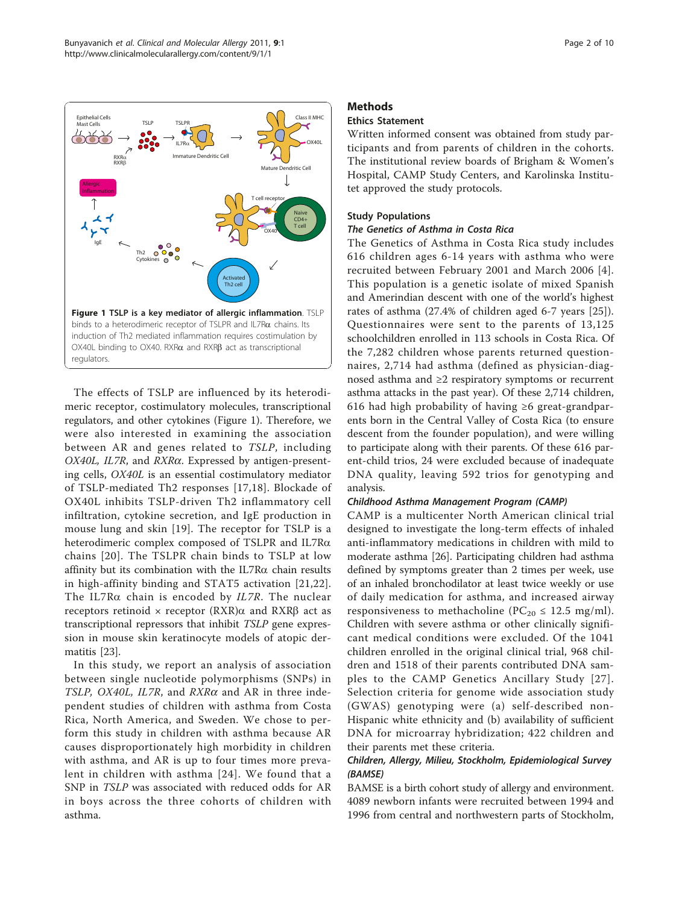<span id="page-1-0"></span>

The effects of TSLP are influenced by its heterodimeric receptor, costimulatory molecules, transcriptional regulators, and other cytokines (Figure 1). Therefore, we were also interested in examining the association between AR and genes related to TSLP, including OX40L, IL7R, and  $RXR\alpha$ . Expressed by antigen-presenting cells, OX40L is an essential costimulatory mediator of TSLP-mediated Th2 responses [[17](#page-8-0),[18\]](#page-8-0). Blockade of OX40L inhibits TSLP-driven Th2 inflammatory cell infiltration, cytokine secretion, and IgE production in mouse lung and skin [[19](#page-8-0)]. The receptor for TSLP is a heterodimeric complex composed of TSLPR and IL7Ra chains [[20](#page-8-0)]. The TSLPR chain binds to TSLP at low affinity but its combination with the IL7R $\alpha$  chain results in high-affinity binding and STAT5 activation [\[21,22](#page-8-0)]. The IL7R $\alpha$  chain is encoded by IL7R. The nuclear receptors retinoid  $\times$  receptor  $(RXR)\alpha$  and  $RXR\beta$  act as transcriptional repressors that inhibit TSLP gene expression in mouse skin keratinocyte models of atopic dermatitis [[23\]](#page-9-0).

In this study, we report an analysis of association between single nucleotide polymorphisms (SNPs) in TSLP, OX40L, IL7R, and  $RXR\alpha$  and AR in three independent studies of children with asthma from Costa Rica, North America, and Sweden. We chose to perform this study in children with asthma because AR causes disproportionately high morbidity in children with asthma, and AR is up to four times more prevalent in children with asthma [[24](#page-9-0)]. We found that a SNP in TSLP was associated with reduced odds for AR in boys across the three cohorts of children with asthma.

# Methods

# Ethics Statement

Written informed consent was obtained from study participants and from parents of children in the cohorts. The institutional review boards of Brigham & Women's Hospital, CAMP Study Centers, and Karolinska Institutet approved the study protocols.

### Study Populations

# The Genetics of Asthma in Costa Rica

The Genetics of Asthma in Costa Rica study includes 616 children ages 6-14 years with asthma who were recruited between February 2001 and March 2006 [[4](#page-8-0)]. This population is a genetic isolate of mixed Spanish and Amerindian descent with one of the world's highest rates of asthma (27.4% of children aged 6-7 years [[25\]](#page-9-0)). Questionnaires were sent to the parents of 13,125 schoolchildren enrolled in 113 schools in Costa Rica. Of the 7,282 children whose parents returned questionnaires, 2,714 had asthma (defined as physician-diagnosed asthma and ≥2 respiratory symptoms or recurrent asthma attacks in the past year). Of these 2,714 children, 616 had high probability of having  $\geq 6$  great-grandparents born in the Central Valley of Costa Rica (to ensure descent from the founder population), and were willing to participate along with their parents. Of these 616 parent-child trios, 24 were excluded because of inadequate DNA quality, leaving 592 trios for genotyping and analysis.

#### Childhood Asthma Management Program (CAMP)

CAMP is a multicenter North American clinical trial designed to investigate the long-term effects of inhaled anti-inflammatory medications in children with mild to moderate asthma [[26\]](#page-9-0). Participating children had asthma defined by symptoms greater than 2 times per week, use of an inhaled bronchodilator at least twice weekly or use of daily medication for asthma, and increased airway responsiveness to methacholine ( $PC_{20} \le 12.5$  mg/ml). Children with severe asthma or other clinically significant medical conditions were excluded. Of the 1041 children enrolled in the original clinical trial, 968 children and 1518 of their parents contributed DNA samples to the CAMP Genetics Ancillary Study [[27\]](#page-9-0). Selection criteria for genome wide association study (GWAS) genotyping were (a) self-described non-Hispanic white ethnicity and (b) availability of sufficient DNA for microarray hybridization; 422 children and their parents met these criteria.

# Children, Allergy, Milieu, Stockholm, Epidemiological Survey (BAMSE)

BAMSE is a birth cohort study of allergy and environment. 4089 newborn infants were recruited between 1994 and 1996 from central and northwestern parts of Stockholm,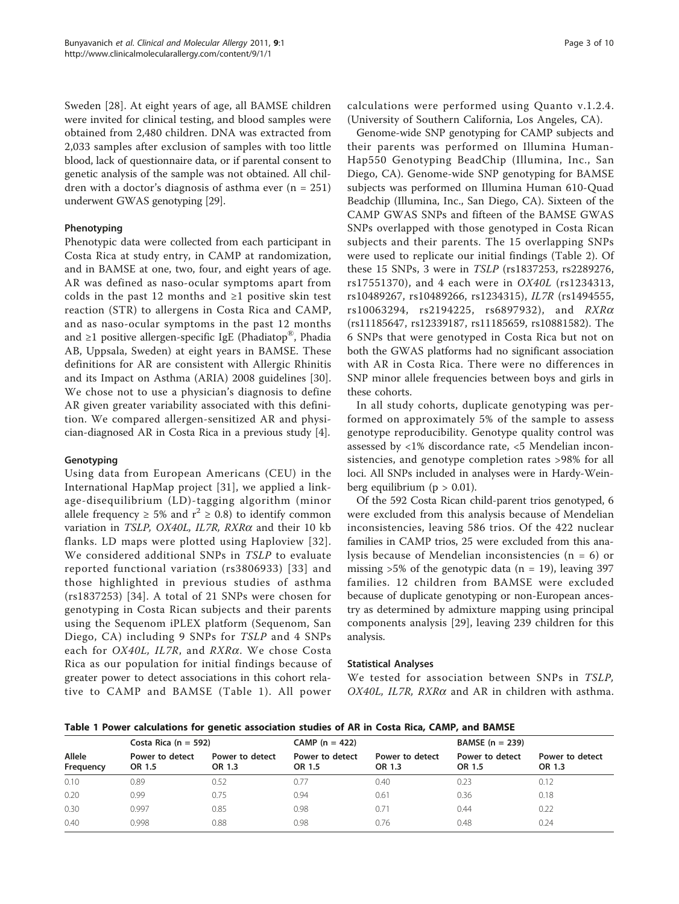Sweden [\[28](#page-9-0)]. At eight years of age, all BAMSE children were invited for clinical testing, and blood samples were obtained from 2,480 children. DNA was extracted from 2,033 samples after exclusion of samples with too little blood, lack of questionnaire data, or if parental consent to genetic analysis of the sample was not obtained. All children with a doctor's diagnosis of asthma ever  $(n = 251)$ underwent GWAS genotyping [\[29\]](#page-9-0).

# Phenotyping

Phenotypic data were collected from each participant in Costa Rica at study entry, in CAMP at randomization, and in BAMSE at one, two, four, and eight years of age. AR was defined as naso-ocular symptoms apart from colds in the past 12 months and  $\geq 1$  positive skin test reaction (STR) to allergens in Costa Rica and CAMP, and as naso-ocular symptoms in the past 12 months and  $\geq 1$  positive allergen-specific IgE (Phadiatop<sup>®</sup>, Phadia AB, Uppsala, Sweden) at eight years in BAMSE. These definitions for AR are consistent with Allergic Rhinitis and its Impact on Asthma (ARIA) 2008 guidelines [\[30](#page-9-0)]. We chose not to use a physician's diagnosis to define AR given greater variability associated with this definition. We compared allergen-sensitized AR and physician-diagnosed AR in Costa Rica in a previous study [\[4](#page-8-0)].

#### Genotyping

Using data from European Americans (CEU) in the International HapMap project [\[31\]](#page-9-0), we applied a linkage-disequilibrium (LD)-tagging algorithm (minor allele frequency  $\geq 5\%$  and  $r^2 \geq 0.8$ ) to identify common variation in TSLP, OX40L, IL7R,  $RXR\alpha$  and their 10 kb flanks. LD maps were plotted using Haploview [[32\]](#page-9-0). We considered additional SNPs in TSLP to evaluate reported functional variation (rs3806933) [[33\]](#page-9-0) and those highlighted in previous studies of asthma (rs1837253) [[34\]](#page-9-0). A total of 21 SNPs were chosen for genotyping in Costa Rican subjects and their parents using the Sequenom iPLEX platform (Sequenom, San Diego, CA) including 9 SNPs for TSLP and 4 SNPs each for OX40L, IL7R, and RXRa. We chose Costa Rica as our population for initial findings because of greater power to detect associations in this cohort relative to CAMP and BAMSE (Table 1). All power

calculations were performed using Quanto v.1.2.4. (University of Southern California, Los Angeles, CA).

Genome-wide SNP genotyping for CAMP subjects and their parents was performed on Illumina Human-Hap550 Genotyping BeadChip (Illumina, Inc., San Diego, CA). Genome-wide SNP genotyping for BAMSE subjects was performed on Illumina Human 610-Quad Beadchip (Illumina, Inc., San Diego, CA). Sixteen of the CAMP GWAS SNPs and fifteen of the BAMSE GWAS SNPs overlapped with those genotyped in Costa Rican subjects and their parents. The 15 overlapping SNPs were used to replicate our initial findings (Table [2\)](#page-3-0). Of these 15 SNPs, 3 were in TSLP (rs1837253, rs2289276, rs17551370), and 4 each were in OX40L (rs1234313, rs10489267, rs10489266, rs1234315), IL7R (rs1494555,  $rs10063294$ ,  $rs2194225$ ,  $rs6897932$ ), and  $RXR\alpha$ (rs11185647, rs12339187, rs11185659, rs10881582). The 6 SNPs that were genotyped in Costa Rica but not on both the GWAS platforms had no significant association with AR in Costa Rica. There were no differences in SNP minor allele frequencies between boys and girls in these cohorts.

In all study cohorts, duplicate genotyping was performed on approximately 5% of the sample to assess genotype reproducibility. Genotype quality control was assessed by <1% discordance rate, <5 Mendelian inconsistencies, and genotype completion rates >98% for all loci. All SNPs included in analyses were in Hardy-Weinberg equilibrium ( $p > 0.01$ ).

Of the 592 Costa Rican child-parent trios genotyped, 6 were excluded from this analysis because of Mendelian inconsistencies, leaving 586 trios. Of the 422 nuclear families in CAMP trios, 25 were excluded from this analysis because of Mendelian inconsistencies ( $n = 6$ ) or missing  $>5\%$  of the genotypic data (n = 19), leaving 397 families. 12 children from BAMSE were excluded because of duplicate genotyping or non-European ancestry as determined by admixture mapping using principal components analysis [[29](#page-9-0)], leaving 239 children for this analysis.

#### Statistical Analyses

We tested for association between SNPs in TSLP, OX40L, IL7R, RXR $\alpha$  and AR in children with asthma.

Table 1 Power calculations for genetic association studies of AR in Costa Rica, CAMP, and BAMSE

|                     | Costa Rica ( $n = 592$ )  |                           | $CAMP (n = 422)$          |                           | BAMSE $(n = 239)$         |                           |  |  |
|---------------------|---------------------------|---------------------------|---------------------------|---------------------------|---------------------------|---------------------------|--|--|
| Allele<br>Frequency | Power to detect<br>OR 1.5 | Power to detect<br>OR 1.3 | Power to detect<br>OR 1.5 | Power to detect<br>OR 1.3 | Power to detect<br>OR 1.5 | Power to detect<br>OR 1.3 |  |  |
| 0.10                | 0.89                      | 0.52                      | 0.77                      | 0.40                      | 0.23                      | 0.12                      |  |  |
| 0.20                | 0.99                      | 0.75                      | 0.94                      | 0.61                      | 0.36                      | 0.18                      |  |  |
| 0.30                | 0.997                     | 0.85                      | 0.98                      | 0.71                      | 0.44                      | 0.22                      |  |  |
| 0.40                | 0.998                     | 0.88                      | 0.98                      | 0.76                      | 0.48                      | 0.24                      |  |  |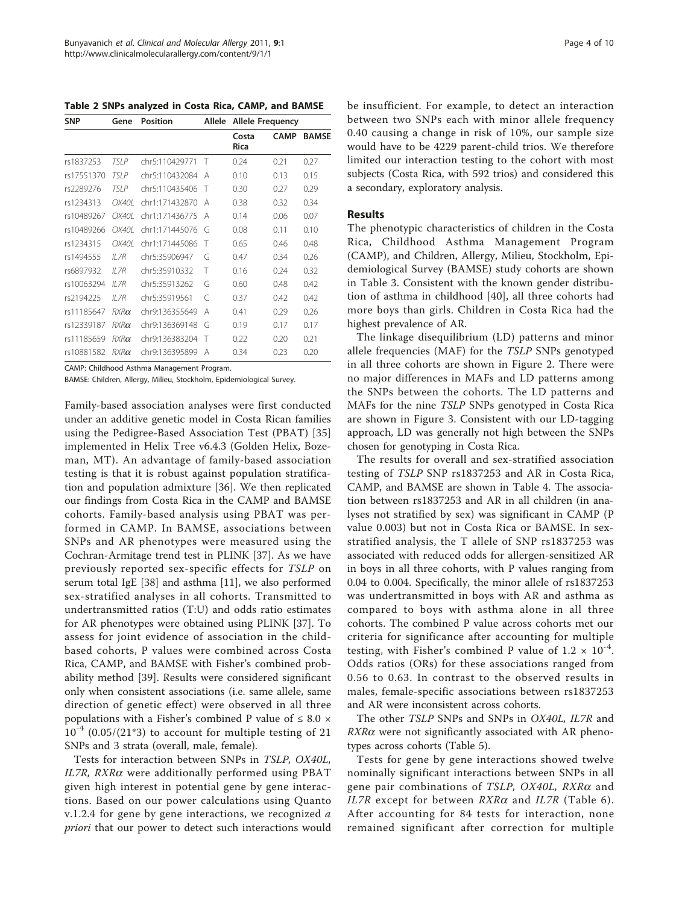<span id="page-3-0"></span>Table 2 SNPs analyzed in Costa Rica, CAMP, and BAMSE

| <b>SNP</b><br>rs1837253<br>rs17551370<br>rs2289276 | Gene        | <b>Position</b> | Allele | <b>Allele Frequency</b> |             |              |  |  |  |
|----------------------------------------------------|-------------|-----------------|--------|-------------------------|-------------|--------------|--|--|--|
|                                                    |             |                 |        | Costa<br><b>Rica</b>    | <b>CAMP</b> | <b>BAMSE</b> |  |  |  |
|                                                    | TSI P       | chr5:110429771  | $\top$ | 0.24                    | 0.21        | 0.27         |  |  |  |
|                                                    | TSI P       | chr5:110432084  | А      | 0.10                    | 0.13        | 0.15         |  |  |  |
|                                                    | TSI P       | chr5:110435406  | Т      | 0.30                    | 0.27        | 0.29         |  |  |  |
| rs1234313                                          | OX40L       | chr1:171432870  | А      | 0.38                    | 0.32        | 0.34         |  |  |  |
| rs10489267                                         | OX40I       | chr1:171436775  | А      | 0.14                    | 0.06        | 0.07         |  |  |  |
| rs10489266                                         | OX40I       | chr1:171445076  | G      | 0.08                    | 0.11        | 0.10         |  |  |  |
| rs1234315                                          | OX40I       | chr1:171445086  | Т      | 0.65                    | 0.46        | 0.48         |  |  |  |
| rs1494555                                          | $II$ 7 $R$  | chr5:35906947   | G      | 0.47                    | 0.34        | 0.26         |  |  |  |
| rs6897932                                          | II 7R       | chr5:35910332   | Т      | 0.16                    | 0.24        | 0.32         |  |  |  |
| rs10063294                                         | II 7R       | chr5:35913262   | G      | 0.60                    | 0.48        | 0.42         |  |  |  |
| rs2194225                                          | $II$ 7 $R$  | chr5:35919561   | C      | 0.37                    | 0.42        | 0.42         |  |  |  |
| rs11185647                                         | $RXR\alpha$ | chr9:136355649  | Α      | 0.41                    | 0.29        | 0.26         |  |  |  |
| rs12339187                                         | $RXR\alpha$ | chr9:136369148  | G      | 0.19                    | 0.17        | 0.17         |  |  |  |
| rs11185659                                         | $RXR\alpha$ | chr9:136383204  | Т      | 0.22                    | 0.20        | 0.21         |  |  |  |
| rs10881582                                         | $RXR\alpha$ | chr9:136395899  | А      | 0.34                    | 0.23        | 0.20         |  |  |  |

CAMP: Childhood Asthma Management Program.

BAMSE: Children, Allergy, Milieu, Stockholm, Epidemiological Survey.

Family-based association analyses were first conducted under an additive genetic model in Costa Rican families using the Pedigree-Based Association Test (PBAT) [\[35](#page-9-0)] implemented in Helix Tree v6.4.3 (Golden Helix, Bozeman, MT). An advantage of family-based association testing is that it is robust against population stratification and population admixture [[36\]](#page-9-0). We then replicated our findings from Costa Rica in the CAMP and BAMSE cohorts. Family-based analysis using PBAT was performed in CAMP. In BAMSE, associations between SNPs and AR phenotypes were measured using the Cochran-Armitage trend test in PLINK [\[37\]](#page-9-0). As we have previously reported sex-specific effects for TSLP on serum total IgE [[38](#page-9-0)] and asthma [\[11](#page-8-0)], we also performed sex-stratified analyses in all cohorts. Transmitted to undertransmitted ratios (T:U) and odds ratio estimates for AR phenotypes were obtained using PLINK [\[37](#page-9-0)]. To assess for joint evidence of association in the childbased cohorts, P values were combined across Costa Rica, CAMP, and BAMSE with Fisher's combined probability method [\[39](#page-9-0)]. Results were considered significant only when consistent associations (i.e. same allele, same direction of genetic effect) were observed in all three populations with a Fisher's combined P value of  $\leq 8.0 \times$  $10^{-4}$  (0.05/(21<sup>\*</sup>3) to account for multiple testing of 21 SNPs and 3 strata (overall, male, female).

Tests for interaction between SNPs in TSLP, OX40L,  $IL7R$ ,  $RXR\alpha$  were additionally performed using PBAT given high interest in potential gene by gene interactions. Based on our power calculations using Quanto v.1.2.4 for gene by gene interactions, we recognized  $a$ priori that our power to detect such interactions would be insufficient. For example, to detect an interaction between two SNPs each with minor allele frequency 0.40 causing a change in risk of 10%, our sample size would have to be 4229 parent-child trios. We therefore limited our interaction testing to the cohort with most subjects (Costa Rica, with 592 trios) and considered this a secondary, exploratory analysis.

#### Results

The phenotypic characteristics of children in the Costa Rica, Childhood Asthma Management Program (CAMP), and Children, Allergy, Milieu, Stockholm, Epidemiological Survey (BAMSE) study cohorts are shown in Table [3](#page-4-0). Consistent with the known gender distribution of asthma in childhood [[40\]](#page-9-0), all three cohorts had more boys than girls. Children in Costa Rica had the highest prevalence of AR.

The linkage disequilibrium (LD) patterns and minor allele frequencies (MAF) for the TSLP SNPs genotyped in all three cohorts are shown in Figure [2](#page-4-0). There were no major differences in MAFs and LD patterns among the SNPs between the cohorts. The LD patterns and MAFs for the nine TSLP SNPs genotyped in Costa Rica are shown in Figure [3](#page-5-0). Consistent with our LD-tagging approach, LD was generally not high between the SNPs chosen for genotyping in Costa Rica.

The results for overall and sex-stratified association testing of TSLP SNP rs1837253 and AR in Costa Rica, CAMP, and BAMSE are shown in Table [4](#page-5-0). The association between rs1837253 and AR in all children (in analyses not stratified by sex) was significant in CAMP (P value 0.003) but not in Costa Rica or BAMSE. In sexstratified analysis, the T allele of SNP rs1837253 was associated with reduced odds for allergen-sensitized AR in boys in all three cohorts, with P values ranging from 0.04 to 0.004. Specifically, the minor allele of rs1837253 was undertransmitted in boys with AR and asthma as compared to boys with asthma alone in all three cohorts. The combined P value across cohorts met our criteria for significance after accounting for multiple testing, with Fisher's combined P value of  $1.2 \times 10^{-4}$ . Odds ratios (ORs) for these associations ranged from 0.56 to 0.63. In contrast to the observed results in males, female-specific associations between rs1837253 and AR were inconsistent across cohorts.

The other TSLP SNPs and SNPs in OX40L, IL7R and  $RXR\alpha$  were not significantly associated with AR phenotypes across cohorts (Table [5\)](#page-6-0).

Tests for gene by gene interactions showed twelve nominally significant interactions between SNPs in all gene pair combinations of TSLP, OX40L, RXR $\alpha$  and IL7R except for between  $RXR\alpha$  and IL7R (Table [6\)](#page-7-0). After accounting for 84 tests for interaction, none remained significant after correction for multiple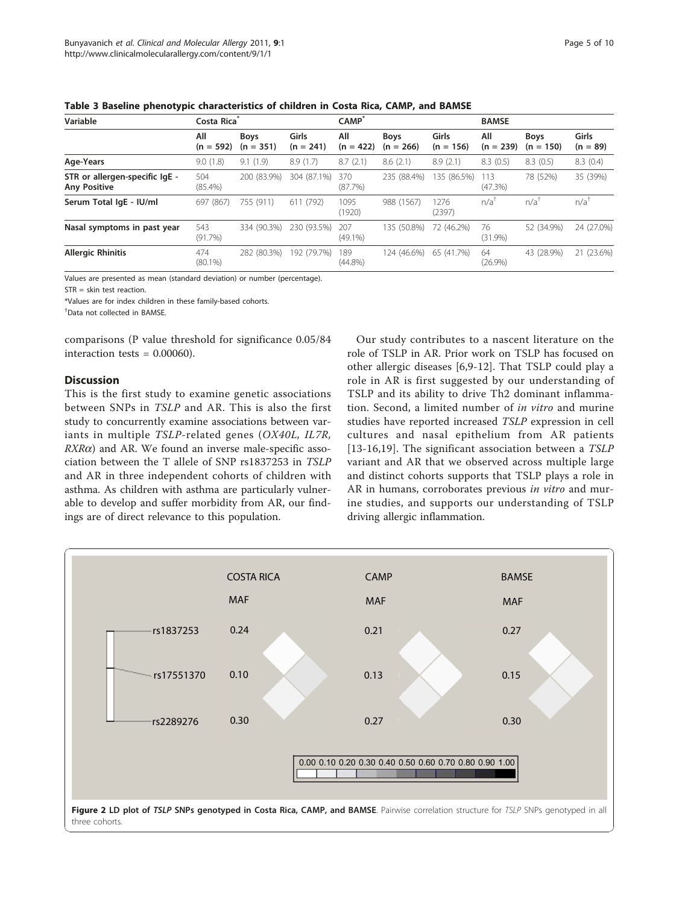<span id="page-4-0"></span>Table 3 Baseline phenotypic characteristics of children in Costa Rica, CAMP, and BAMSE

| Variable                                              | Costa Rica         |                            |                      | CAMP <sup>®</sup>  |                            | <b>BAMSE</b>         |                    |                            |                     |
|-------------------------------------------------------|--------------------|----------------------------|----------------------|--------------------|----------------------------|----------------------|--------------------|----------------------------|---------------------|
|                                                       | All<br>$(n = 592)$ | <b>Boys</b><br>$(n = 351)$ | Girls<br>$(n = 241)$ | All<br>$(n = 422)$ | <b>Boys</b><br>$(n = 266)$ | Girls<br>$(n = 156)$ | All<br>$(n = 239)$ | <b>Boys</b><br>$(n = 150)$ | Girls<br>$(n = 89)$ |
| Age-Years                                             | 9.0(1.8)           | 9.1(1.9)                   | 8.9(1.7)             | 8.7(2.1)           | 8.6(2.1)                   | 8.9(2.1)             | 8.3(0.5)           | 8.3(0.5)                   | 8.3(0.4)            |
| STR or allergen-specific IgE -<br><b>Any Positive</b> | 504<br>$(85.4\%)$  | 200 (83.9%)                | 304 (87.1%)          | 370<br>$(87.7\%)$  | 235 (88.4%)                | 135 (86.5%)          | 113<br>$(47.3\%)$  | 78 (52%)                   | 35 (39%)            |
| Serum Total IgE - IU/ml                               | 697 (867)          | 755 (911)                  | 611 (792)            | 1095<br>(1920)     | 988 (1567)                 | 1276<br>(2397)       | $n/a^{\dagger}$    | $n/a^{\dagger}$            | n/a <sup>1</sup>    |
| Nasal symptoms in past year                           | 543<br>$(91.7\%)$  | 334 (90.3%)                | 230 (93.5%)          | 207<br>$(49.1\%)$  | 135 (50.8%)                | 72 (46.2%)           | 76<br>$(31.9\%)$   | 52 (34.9%)                 | 24 (27.0%)          |
| <b>Allergic Rhinitis</b>                              | 474<br>$(80.1\%)$  | 282 (80.3%)                | 192 (79.7%)          | 189<br>$(44.8\%)$  | 124 (46.6%)                | 65 (41.7%)           | 64<br>$(26.9\%)$   | 43 (28.9%)                 | 21 (23.6%)          |

Values are presented as mean (standard deviation) or number (percentage).

STR = skin test reaction.

\*Values are for index children in these family-based cohorts.

† Data not collected in BAMSE.

comparisons (P value threshold for significance 0.05/84 interaction tests  $= 0.00060$ ).

# **Discussion**

This is the first study to examine genetic associations between SNPs in TSLP and AR. This is also the first study to concurrently examine associations between variants in multiple TSLP-related genes (OX40L, IL7R,  $RXR\alpha$ ) and AR. We found an inverse male-specific association between the T allele of SNP rs1837253 in TSLP and AR in three independent cohorts of children with asthma. As children with asthma are particularly vulnerable to develop and suffer morbidity from AR, our findings are of direct relevance to this population.

Our study contributes to a nascent literature on the role of TSLP in AR. Prior work on TSLP has focused on other allergic diseases [\[6,9-12](#page-8-0)]. That TSLP could play a role in AR is first suggested by our understanding of TSLP and its ability to drive Th2 dominant inflammation. Second, a limited number of in vitro and murine studies have reported increased TSLP expression in cell cultures and nasal epithelium from AR patients [[13](#page-8-0)-[16,19](#page-8-0)]. The significant association between a TSLP variant and AR that we observed across multiple large and distinct cohorts supports that TSLP plays a role in AR in humans, corroborates previous in vitro and murine studies, and supports our understanding of TSLP driving allergic inflammation.

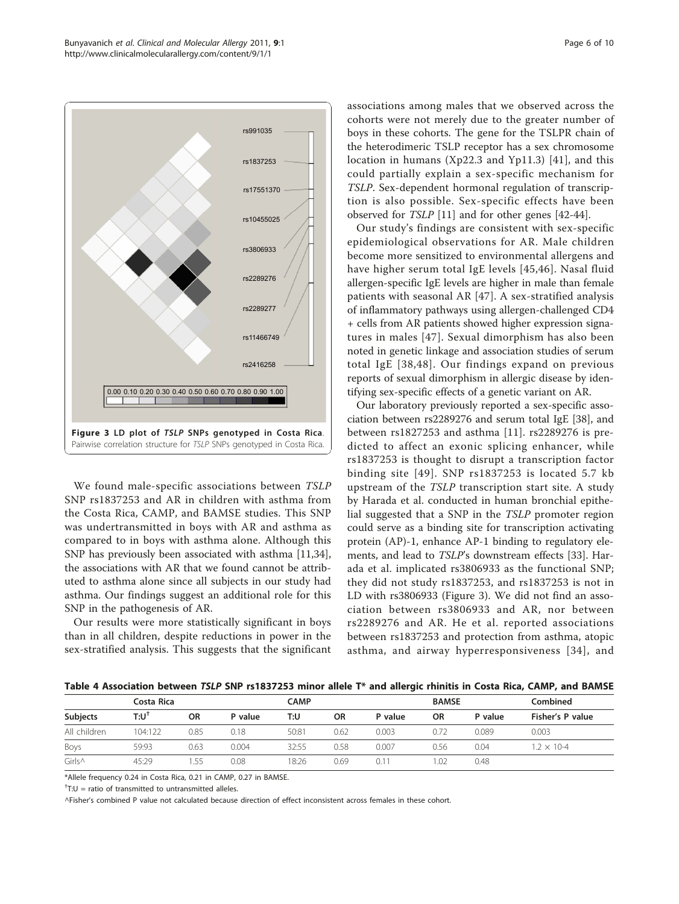<span id="page-5-0"></span>

We found male-specific associations between TSLP SNP rs1837253 and AR in children with asthma from the Costa Rica, CAMP, and BAMSE studies. This SNP was undertransmitted in boys with AR and asthma as compared to in boys with asthma alone. Although this SNP has previously been associated with asthma [\[11](#page-8-0)[,34](#page-9-0)], the associations with AR that we found cannot be attributed to asthma alone since all subjects in our study had asthma. Our findings suggest an additional role for this SNP in the pathogenesis of AR.

Our results were more statistically significant in boys than in all children, despite reductions in power in the sex-stratified analysis. This suggests that the significant associations among males that we observed across the cohorts were not merely due to the greater number of boys in these cohorts. The gene for the TSLPR chain of the heterodimeric TSLP receptor has a sex chromosome location in humans (Xp22.3 and Yp11.3) [[41](#page-9-0)], and this could partially explain a sex-specific mechanism for TSLP. Sex-dependent hormonal regulation of transcription is also possible. Sex-specific effects have been observed for TSLP [[11\]](#page-8-0) and for other genes [[42-44](#page-9-0)].

Our study's findings are consistent with sex-specific epidemiological observations for AR. Male children become more sensitized to environmental allergens and have higher serum total IgE levels [\[45,46\]](#page-9-0). Nasal fluid allergen-specific IgE levels are higher in male than female patients with seasonal AR [[47](#page-9-0)]. A sex-stratified analysis of inflammatory pathways using allergen-challenged CD4 + cells from AR patients showed higher expression signatures in males [[47\]](#page-9-0). Sexual dimorphism has also been noted in genetic linkage and association studies of serum total IgE [[38,48](#page-9-0)]. Our findings expand on previous reports of sexual dimorphism in allergic disease by identifying sex-specific effects of a genetic variant on AR.

Our laboratory previously reported a sex-specific association between rs2289276 and serum total IgE [\[38](#page-9-0)], and between rs1827253 and asthma [\[11](#page-8-0)]. rs2289276 is predicted to affect an exonic splicing enhancer, while rs1837253 is thought to disrupt a transcription factor binding site [[49\]](#page-9-0). SNP rs1837253 is located 5.7 kb upstream of the TSLP transcription start site. A study by Harada et al. conducted in human bronchial epithelial suggested that a SNP in the TSLP promoter region could serve as a binding site for transcription activating protein (AP)-1, enhance AP-1 binding to regulatory elements, and lead to TSLP's downstream effects [\[33\]](#page-9-0). Harada et al. implicated rs3806933 as the functional SNP; they did not study rs1837253, and rs1837253 is not in LD with rs3806933 (Figure 3). We did not find an association between rs3806933 and AR, nor between rs2289276 and AR. He et al. reported associations between rs1837253 and protection from asthma, atopic asthma, and airway hyperresponsiveness [[34](#page-9-0)], and

Table 4 Association between TSLP SNP rs1837253 minor allele T\* and allergic rhinitis in Costa Rica, CAMP, and BAMSE

|              | Costa Rica |           | CAMP    |       |           | <b>BAMSE</b> |           | Combined |                      |  |
|--------------|------------|-----------|---------|-------|-----------|--------------|-----------|----------|----------------------|--|
| Subjects     | $T:U^1$    | <b>OR</b> | P value | T:U   | <b>OR</b> | P value      | <b>OR</b> | P value  | Fisher's P value     |  |
| All children | 104:122    | 0.85      | 0.18    | 50:81 | 0.62      | 0.003        | 0.72      | 0.089    | 0.003                |  |
| Boys         | 59:93      | 0.63      | 0.004   | 32:55 | 0.58      | 0.007        | 0.56      | 0.04     | $1.2 \times 10^{-4}$ |  |
| Girls^       | 45:29      | .55       | 0.08    | 18:26 | 0.69      | 0.11         | .02       | 0.48     |                      |  |

\*Allele frequency 0.24 in Costa Rica, 0.21 in CAMP, 0.27 in BAMSE.

 $^{\dagger}$ T:U = ratio of transmitted to untransmitted alleles.

^Fisher's combined P value not calculated because direction of effect inconsistent across females in these cohort.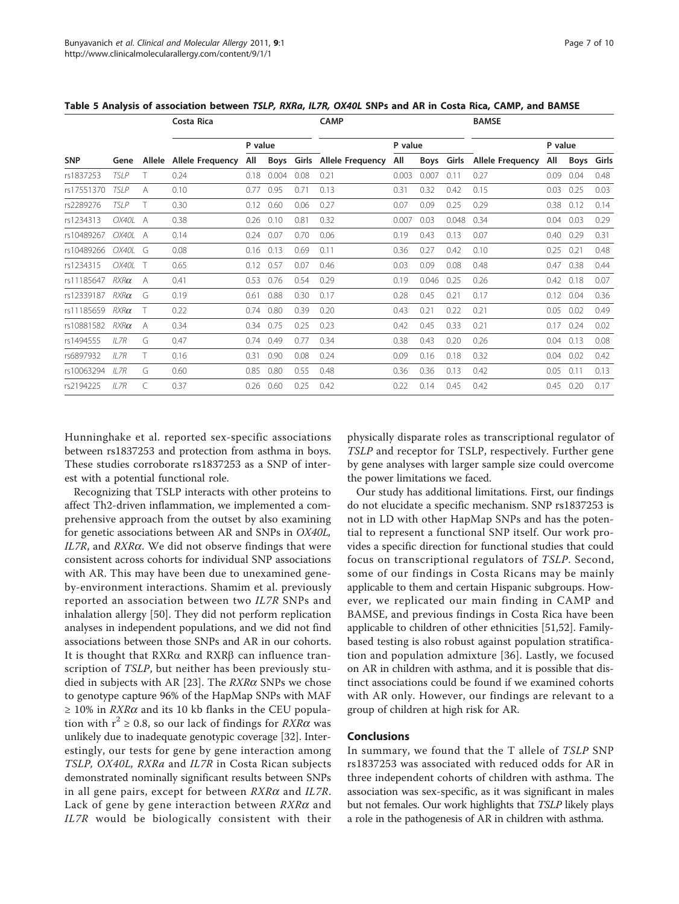<span id="page-6-0"></span>

| Table 5 Analysis of association between TSLP, RXRa, IL7R, OX40L SNPs and AR in Costa Rica, CAMP, and BAMSE |  |  |  |
|------------------------------------------------------------------------------------------------------------|--|--|--|
|------------------------------------------------------------------------------------------------------------|--|--|--|

|            |             |        | Costa Rica              |         |       |       | <b>CAMP</b>             |         |       |            | <b>BAMSE</b>            |         |      |       |
|------------|-------------|--------|-------------------------|---------|-------|-------|-------------------------|---------|-------|------------|-------------------------|---------|------|-------|
|            |             |        |                         | P value |       |       |                         | P value |       |            |                         | P value |      |       |
| <b>SNP</b> | Gene        | Allele | <b>Allele Frequency</b> | All     | Boys  | Girls | <b>Allele Frequency</b> | All     |       | Boys Girls | <b>Allele Frequency</b> | All     | Boys | Girls |
| rs1837253  | TSI P       |        | 0.24                    | 0.18    | 0.004 | 0.08  | 0.21                    | 0.003   | 0.007 | 0.11       | 0.27                    | 0.09    | 0.04 | 0.48  |
| rs17551370 | <b>TSLP</b> | A      | 0.10                    | 0.77    | 0.95  | 0.71  | 0.13                    | 0.31    | 0.32  | 0.42       | 0.15                    | 0.03    | 0.25 | 0.03  |
| rs2289276  | <b>TSLP</b> | Τ      | 0.30                    | 0.12    | 0.60  | 0.06  | 0.27                    | 0.07    | 0.09  | 0.25       | 0.29                    | 0.38    | 0.12 | 0.14  |
| rs1234313  | OX40L A     |        | 0.38                    | 0.26    | 0.10  | 0.81  | 0.32                    | 0.007   | 0.03  | 0.048      | 0.34                    | 0.04    | 0.03 | 0.29  |
| rs10489267 | OX40L A     |        | 0.14                    | 0.24    | 0.07  | 0.70  | 0.06                    | 0.19    | 0.43  | 0.13       | 0.07                    | 0.40    | 0.29 | 0.31  |
| rs10489266 | OX40L       | G      | 0.08                    | 0.16    | 0.13  | 0.69  | 0.11                    | 0.36    | 0.27  | 0.42       | 0.10                    | 0.25    | 0.21 | 0.48  |
| rs1234315  | OX401       | Т      | 0.65                    | 0.12    | 0.57  | 0.07  | 0.46                    | 0.03    | 0.09  | 0.08       | 0.48                    | 0.47    | 0.38 | 0.44  |
| rs11185647 | $RXR\alpha$ | A      | 0.41                    | 0.53    | 0.76  | 0.54  | 0.29                    | 0.19    | 0.046 | 0.25       | 0.26                    | 0.42    | 0.18 | 0.07  |
| rs12339187 | $RXR\alpha$ | G      | 0.19                    | 0.61    | 0.88  | 0.30  | 0.17                    | 0.28    | 0.45  | 0.21       | 0.17                    | 0.12    | 0.04 | 0.36  |
| rs11185659 | $RXR\alpha$ | т      | 0.22                    | 0.74    | 0.80  | 0.39  | 0.20                    | 0.43    | 0.21  | 0.22       | 0.21                    | 0.05    | 0.02 | 0.49  |
| rs10881582 | $RXR\alpha$ | A      | 0.34                    | 0.34    | 0.75  | 0.25  | 0.23                    | 0.42    | 0.45  | 0.33       | 0.21                    | 0.17    | 0.24 | 0.02  |
| rs1494555  | $II$ 7 $R$  | G      | 0.47                    | 0.74    | 0.49  | 0.77  | 0.34                    | 0.38    | 0.43  | 0.20       | 0.26                    | 0.04    | 0.13 | 0.08  |
| rs6897932  | IL7R        | Τ      | 0.16                    | 0.31    | 0.90  | 0.08  | 0.24                    | 0.09    | 0.16  | 0.18       | 0.32                    | 0.04    | 0.02 | 0.42  |
| rs10063294 | $II$ 7 $R$  | G      | 0.60                    | 0.85    | 0.80  | 0.55  | 0.48                    | 0.36    | 0.36  | 0.13       | 0.42                    | 0.05    | 0.11 | 0.13  |
| rs2194225  | $II$ 7 $R$  | C      | 0.37                    | 0.26    | 0.60  | 0.25  | 0.42                    | 0.22    | 0.14  | 0.45       | 0.42                    | 0.45    | 0.20 | 0.17  |

Hunninghake et al. reported sex-specific associations between rs1837253 and protection from asthma in boys. These studies corroborate rs1837253 as a SNP of interest with a potential functional role.

Recognizing that TSLP interacts with other proteins to affect Th2-driven inflammation, we implemented a comprehensive approach from the outset by also examining for genetic associations between AR and SNPs in OX40L,  $IL7R$ , and  $RXR\alpha$ . We did not observe findings that were consistent across cohorts for individual SNP associations with AR. This may have been due to unexamined geneby-environment interactions. Shamim et al. previously reported an association between two IL7R SNPs and inhalation allergy [[50\]](#page-9-0). They did not perform replication analyses in independent populations, and we did not find associations between those SNPs and AR in our cohorts. It is thought that  $RXR\alpha$  and  $RXR\beta$  can influence transcription of TSLP, but neither has been previously stu-died in subjects with AR [[23\]](#page-9-0). The  $RXR\alpha$  SNPs we chose to genotype capture 96% of the HapMap SNPs with MAF  $\geq$  10% in *RXR* $\alpha$  and its 10 kb flanks in the CEU population with  $r^2 \ge 0.8$ , so our lack of findings for  $RXR\alpha$  was unlikely due to inadequate genotypic coverage [\[32](#page-9-0)]. Interestingly, our tests for gene by gene interaction among TSLP, OX40L, RXRa and IL7R in Costa Rican subjects demonstrated nominally significant results between SNPs in all gene pairs, except for between  $RXR\alpha$  and  $IL7R$ . Lack of gene by gene interaction between  $RXR\alpha$  and IL7R would be biologically consistent with their physically disparate roles as transcriptional regulator of TSLP and receptor for TSLP, respectively. Further gene by gene analyses with larger sample size could overcome the power limitations we faced.

Our study has additional limitations. First, our findings do not elucidate a specific mechanism. SNP rs1837253 is not in LD with other HapMap SNPs and has the potential to represent a functional SNP itself. Our work provides a specific direction for functional studies that could focus on transcriptional regulators of TSLP. Second, some of our findings in Costa Ricans may be mainly applicable to them and certain Hispanic subgroups. However, we replicated our main finding in CAMP and BAMSE, and previous findings in Costa Rica have been applicable to children of other ethnicities [\[51,52\]](#page-9-0). Familybased testing is also robust against population stratification and population admixture [\[36\]](#page-9-0). Lastly, we focused on AR in children with asthma, and it is possible that distinct associations could be found if we examined cohorts with AR only. However, our findings are relevant to a group of children at high risk for AR.

# Conclusions

In summary, we found that the T allele of TSLP SNP rs1837253 was associated with reduced odds for AR in three independent cohorts of children with asthma. The association was sex-specific, as it was significant in males but not females. Our work highlights that TSLP likely plays a role in the pathogenesis of AR in children with asthma.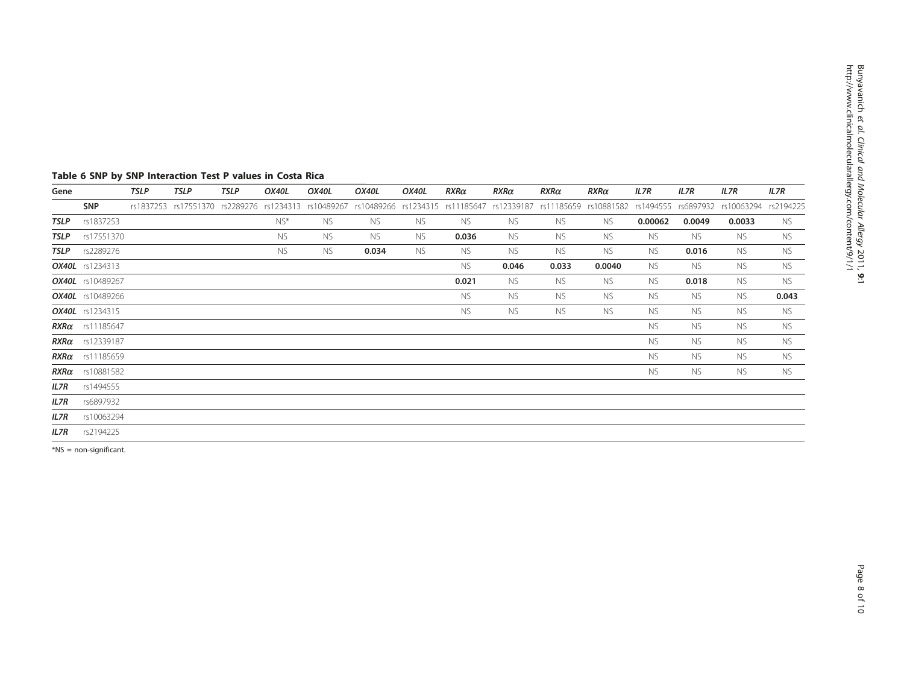# <span id="page-7-0"></span>Table 6 SNP by SNP Interaction Test P values in Costa Rica

| Gene |                         | TSLP | <b>TSLP</b> | <b>TSLP</b> | OX40L     | OX40L     | OX40L                                                                                          | OX40L     | $RXR\alpha$ | $RXR\alpha$ | $R$ X $R$ $\alpha$                                   | $R$ XR $\alpha$ | IL7R      | IL7R      | IL7R      | IL7R      |
|------|-------------------------|------|-------------|-------------|-----------|-----------|------------------------------------------------------------------------------------------------|-----------|-------------|-------------|------------------------------------------------------|-----------------|-----------|-----------|-----------|-----------|
|      | <b>SNP</b>              |      |             |             |           |           | rs1837253 rs17551370 rs2289276 rs1234313 rs10489267 rs10489266 rs1234315 rs11185647 rs12339187 |           |             |             | rs11185659 rs10881582 rs1494555 rs6897932 rs10063294 |                 |           |           |           | rs2194225 |
| TSLP | rs1837253               |      |             |             | NS*       | <b>NS</b> | ns.                                                                                            | ns.       | ns.         | NS.         | ns.                                                  | NS.             | 0.00062   | 0.0049    | 0.0033    | ns        |
| TSLP | rs17551370              |      |             |             | ns.       | NS.       | ns.                                                                                            | ns.       | 0.036       | ns.         | ns.                                                  | ns.             | NS.       | ns.       | ns.       | ns.       |
|      | <b>TSLP</b> rs2289276   |      |             |             | <b>NS</b> | <b>NS</b> | 0.034                                                                                          | <b>NS</b> | <b>NS</b>   | <b>NS</b>   | <b>NS</b>                                            | NS.             | <b>NS</b> | 0.016     | <b>NS</b> | <b>NS</b> |
|      | <b>OX40L</b> rs1234313  |      |             |             |           |           |                                                                                                |           | <b>NS</b>   | 0.046       | 0.033                                                | 0.0040          | <b>NS</b> | NS.       | <b>NS</b> | <b>NS</b> |
|      | OX40L rs10489267        |      |             |             |           |           |                                                                                                |           | 0.021       | NS.         | ns.                                                  | ns.             | <b>NS</b> | 0.018     | <b>NS</b> | <b>NS</b> |
|      | <b>OX40L</b> rs10489266 |      |             |             |           |           |                                                                                                |           | ns.         | NS.         | <b>NS</b>                                            | NS.             | NS.       | ns.       | <b>NS</b> | 0.043     |
|      | <b>OX40L</b> rs1234315  |      |             |             |           |           |                                                                                                |           | <b>NS</b>   | NS.         | <b>NS</b>                                            | NS.             | <b>NS</b> | <b>NS</b> | <b>NS</b> | ns.       |
|      | $RXR\alpha$ rs11185647  |      |             |             |           |           |                                                                                                |           |             |             |                                                      |                 | <b>NS</b> | <b>NS</b> | <b>NS</b> | <b>NS</b> |
|      | $RXR\alpha$ rs12339187  |      |             |             |           |           |                                                                                                |           |             |             |                                                      |                 | <b>NS</b> | <b>NS</b> | <b>NS</b> | <b>NS</b> |
|      | $RXR\alpha$ rs11185659  |      |             |             |           |           |                                                                                                |           |             |             |                                                      |                 | <b>NS</b> | <b>NS</b> | <b>NS</b> | <b>NS</b> |
|      | $RXR\alpha$ rs10881582  |      |             |             |           |           |                                                                                                |           |             |             |                                                      |                 | <b>NS</b> | <b>NS</b> | <b>NS</b> | <b>NS</b> |
| IL7R | rs1494555               |      |             |             |           |           |                                                                                                |           |             |             |                                                      |                 |           |           |           |           |
| IL7R | rs6897932               |      |             |             |           |           |                                                                                                |           |             |             |                                                      |                 |           |           |           |           |
| IL7R | rs10063294              |      |             |             |           |           |                                                                                                |           |             |             |                                                      |                 |           |           |           |           |
| IL7R | rs2194225               |      |             |             |           |           |                                                                                                |           |             |             |                                                      |                 |           |           |           |           |

\*NS = non-significant.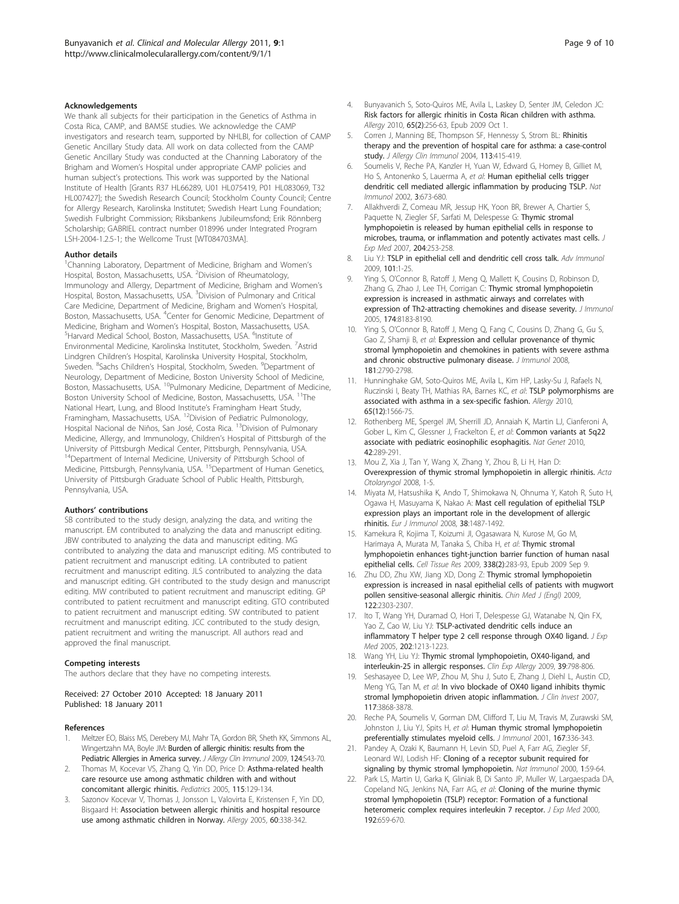#### <span id="page-8-0"></span>Acknowledgements

We thank all subjects for their participation in the Genetics of Asthma in Costa Rica, CAMP, and BAMSE studies. We acknowledge the CAMP investigators and research team, supported by NHLBI, for collection of CAMP Genetic Ancillary Study data. All work on data collected from the CAMP Genetic Ancillary Study was conducted at the Channing Laboratory of the Brigham and Women's Hospital under appropriate CAMP policies and human subject's protections. This work was supported by the National Institute of Health [Grants R37 HL66289, U01 HL075419, P01 HL083069, T32 HL007427]; the Swedish Research Council; Stockholm County Council; Centre for Allergy Research, Karolinska Institutet; Swedish Heart Lung Foundation; Swedish Fulbright Commission; Riksbankens Jubileumsfond; Erik Rönnberg Scholarship; GABRIEL contract number 018996 under Integrated Program LSH-2004-1.2.5-1; the Wellcome Trust [WT084703MA].

#### Author details

<sup>1</sup>Channing Laboratory, Department of Medicine, Brigham and Women's Hospital, Boston, Massachusetts, USA. <sup>2</sup>Division of Rheumatology, Immunology and Allergy, Department of Medicine, Brigham and Women's Hospital, Boston, Massachusetts, USA. <sup>3</sup>Division of Pulmonary and Critical Care Medicine, Department of Medicine, Brigham and Women's Hospital, Boston, Massachusetts, USA. <sup>4</sup>Center for Genomic Medicine, Department of Medicine, Brigham and Women's Hospital, Boston, Massachusetts, USA. Harvard Medical School, Boston, Massachusetts, USA. <sup>6</sup>Institute of Environmental Medicine, Karolinska Institutet, Stockholm, Sweden. <sup>7</sup>Astrid Lindgren Children's Hospital, Karolinska University Hospital, Stockholm, Sweden. <sup>8</sup>Sachs Children's Hospital, Stockholm, Sweden. <sup>9</sup>Department of Neurology, Department of Medicine, Boston University School of Medicine, Boston, Massachusetts, USA. <sup>10</sup>Pulmonary Medicine, Department of Medicine, Boston University School of Medicine, Boston, Massachusetts, USA. 11The National Heart, Lung, and Blood Institute's Framingham Heart Study, Framingham, Massachusetts, USA. 12Division of Pediatric Pulmonology, Hospital Nacional de Niños, San José, Costa Rica. 13Division of Pulmonary Medicine, Allergy, and Immunology, Children's Hospital of Pittsburgh of the University of Pittsburgh Medical Center, Pittsburgh, Pennsylvania, USA. <sup>14</sup>Department of Internal Medicine, University of Pittsburgh School of Medicine, Pittsburgh, Pennsylvania, USA. <sup>15</sup>Department of Human Genetics, University of Pittsburgh Graduate School of Public Health, Pittsburgh, Pennsylvania, USA.

#### Authors' contributions

SB contributed to the study design, analyzing the data, and writing the manuscript. EM contributed to analyzing the data and manuscript editing. JBW contributed to analyzing the data and manuscript editing. MG contributed to analyzing the data and manuscript editing. MS contributed to patient recruitment and manuscript editing. LA contributed to patient recruitment and manuscript editing. JLS contributed to analyzing the data and manuscript editing. GH contributed to the study design and manuscript editing. MW contributed to patient recruitment and manuscript editing. GP contributed to patient recruitment and manuscript editing. GTO contributed to patient recruitment and manuscript editing. SW contributed to patient recruitment and manuscript editing. JCC contributed to the study design, patient recruitment and writing the manuscript. All authors read and approved the final manuscript.

#### Competing interests

The authors declare that they have no competing interests.

#### Received: 27 October 2010 Accepted: 18 January 2011 Published: 18 January 2011

#### References

- 1. Meltzer EO, Blaiss MS, Derebery MJ, Mahr TA, Gordon BR, Sheth KK, Simmons AL, Wingertzahn MA, Boyle JM: [Burden of allergic rhinitis: results from the](http://www.ncbi.nlm.nih.gov/pubmed/19592081?dopt=Abstract) [Pediatric Allergies in America survey.](http://www.ncbi.nlm.nih.gov/pubmed/19592081?dopt=Abstract) J Allergy Clin Immunol 2009, 124:S43-70.
- Thomas M, Kocevar VS, Zhang Q, Yin DD, Price D: [Asthma-related health](http://www.ncbi.nlm.nih.gov/pubmed/15629992?dopt=Abstract) [care resource use among asthmatic children with and without](http://www.ncbi.nlm.nih.gov/pubmed/15629992?dopt=Abstract) [concomitant allergic rhinitis.](http://www.ncbi.nlm.nih.gov/pubmed/15629992?dopt=Abstract) Pediatrics 2005, 115:129-134.
- 3. Sazonov Kocevar V, Thomas J, Jonsson L, Valovirta E, Kristensen F, Yin DD, Bisgaard H: [Association between allergic rhinitis and hospital resource](http://www.ncbi.nlm.nih.gov/pubmed/15679719?dopt=Abstract) [use among asthmatic children in Norway.](http://www.ncbi.nlm.nih.gov/pubmed/15679719?dopt=Abstract) Allergy 2005, 60:338-342.
- 4. Bunyavanich S, Soto-Quiros ME, Avila L, Laskey D, Senter JM, Celedon JC: [Risk factors for allergic rhinitis in Costa Rican children with asthma.](http://www.ncbi.nlm.nih.gov/pubmed/19796208?dopt=Abstract) Allergy 2010, 65(2):256-63, Epub 2009 Oct 1.
- 5. Corren J, Manning BE, Thompson SF, Hennessy S, Strom BL: [Rhinitis](http://www.ncbi.nlm.nih.gov/pubmed/15007339?dopt=Abstract) [therapy and the prevention of hospital care for asthma: a case-control](http://www.ncbi.nlm.nih.gov/pubmed/15007339?dopt=Abstract) [study.](http://www.ncbi.nlm.nih.gov/pubmed/15007339?dopt=Abstract) J Allergy Clin Immunol 2004, 113:415-419.
- 6. Soumelis V, Reche PA, Kanzler H, Yuan W, Edward G, Homey B, Gilliet M, Ho S, Antonenko S, Lauerma A, et al: [Human epithelial cells trigger](http://www.ncbi.nlm.nih.gov/pubmed/12055625?dopt=Abstract) [dendritic cell mediated allergic inflammation by producing TSLP.](http://www.ncbi.nlm.nih.gov/pubmed/12055625?dopt=Abstract) Nat Immunol 2002, 3:673-680.
- 7. Allakhverdi Z, Comeau MR, Jessup HK, Yoon BR, Brewer A, Chartier S, Paquette N, Ziegler SF, Sarfati M, Delespesse G: [Thymic stromal](http://www.ncbi.nlm.nih.gov/pubmed/17242164?dopt=Abstract) [lymphopoietin is released by human epithelial cells in response to](http://www.ncbi.nlm.nih.gov/pubmed/17242164?dopt=Abstract) [microbes, trauma, or inflammation and potently activates mast cells.](http://www.ncbi.nlm.nih.gov/pubmed/17242164?dopt=Abstract) J Exp Med 2007, 204:253-258.
- 8. Liu YJ: [TSLP in epithelial cell and dendritic cell cross talk.](http://www.ncbi.nlm.nih.gov/pubmed/19231591?dopt=Abstract) Adv Immunol 2009, 101:1-25.
- 9. Ying S, O'Connor B, Ratoff J, Meng Q, Mallett K, Cousins D, Robinson D, Zhang G, Zhao J, Lee TH, Corrigan C: [Thymic stromal lymphopoietin](http://www.ncbi.nlm.nih.gov/pubmed/15944327?dopt=Abstract) [expression is increased in asthmatic airways and correlates with](http://www.ncbi.nlm.nih.gov/pubmed/15944327?dopt=Abstract) [expression of Th2-attracting chemokines and disease severity.](http://www.ncbi.nlm.nih.gov/pubmed/15944327?dopt=Abstract) J Immunol 2005, 174:8183-8190.
- 10. Ying S, O'Connor B, Ratoff J, Meng Q, Fang C, Cousins D, Zhang G, Gu S, Gao Z, Shamji B, et al: [Expression and cellular provenance of thymic](http://www.ncbi.nlm.nih.gov/pubmed/18684970?dopt=Abstract) [stromal lymphopoietin and chemokines in patients with severe asthma](http://www.ncbi.nlm.nih.gov/pubmed/18684970?dopt=Abstract) [and chronic obstructive pulmonary disease.](http://www.ncbi.nlm.nih.gov/pubmed/18684970?dopt=Abstract) J Immunol 2008, 181:2790-2798.
- 11. Hunninghake GM, Soto-Quiros ME, Avila L, Kim HP, Lasky-Su J, Rafaels N, Ruczinski I, Beaty TH, Mathias RA, Barnes KC, et al: [TSLP polymorphisms are](http://www.ncbi.nlm.nih.gov/pubmed/20560908?dopt=Abstract) [associated with asthma in a sex-specific fashion.](http://www.ncbi.nlm.nih.gov/pubmed/20560908?dopt=Abstract) Allergy 2010, 65(12):1566-75.
- 12. Rothenberg ME, Spergel JM, Sherrill JD, Annaiah K, Martin LJ, Cianferoni A, Gober L, Kim C, Glessner J, Frackelton E, et al: [Common variants at 5q22](http://www.ncbi.nlm.nih.gov/pubmed/20208534?dopt=Abstract) [associate with pediatric eosinophilic esophagitis.](http://www.ncbi.nlm.nih.gov/pubmed/20208534?dopt=Abstract) Nat Genet 2010, 42:289-291.
- 13. Mou Z, Xia J, Tan Y, Wang X, Zhang Y, Zhou B, Li H, Han D: Overexpression of thymic stromal lymphopoietin in allergic rhinitis. Acta Otolaryngol 2008, 1-5.
- 14. Miyata M, Hatsushika K, Ando T, Shimokawa N, Ohnuma Y, Katoh R, Suto H, Ogawa H, Masuyama K, Nakao A: [Mast cell regulation of epithelial TSLP](http://www.ncbi.nlm.nih.gov/pubmed/18461563?dopt=Abstract) [expression plays an important role in the development of allergic](http://www.ncbi.nlm.nih.gov/pubmed/18461563?dopt=Abstract) [rhinitis.](http://www.ncbi.nlm.nih.gov/pubmed/18461563?dopt=Abstract) Eur J Immunol 2008, 38:1487-1492.
- 15. Kamekura R, Kojima T, Koizumi JI, Ogasawara N, Kurose M, Go M, Harimaya A, Murata M, Tanaka S, Chiba H, et al: [Thymic stromal](http://www.ncbi.nlm.nih.gov/pubmed/19763625?dopt=Abstract) [lymphopoietin enhances tight-junction barrier function of human nasal](http://www.ncbi.nlm.nih.gov/pubmed/19763625?dopt=Abstract) [epithelial cells.](http://www.ncbi.nlm.nih.gov/pubmed/19763625?dopt=Abstract) Cell Tissue Res 2009, 338(2):283-93, Epub 2009 Sep 9.
- 16. Zhu DD, Zhu XW, Jiang XD, Dong Z: [Thymic stromal lymphopoietin](http://www.ncbi.nlm.nih.gov/pubmed/20079130?dopt=Abstract) [expression is increased in nasal epithelial cells of patients with mugwort](http://www.ncbi.nlm.nih.gov/pubmed/20079130?dopt=Abstract) [pollen sensitive-seasonal allergic rhinitis.](http://www.ncbi.nlm.nih.gov/pubmed/20079130?dopt=Abstract) Chin Med J (Engl) 2009, 122:2303-2307.
- 17. Ito T, Wang YH, Duramad O, Hori T, Delespesse GJ, Watanabe N, Qin FX, Yao Z, Cao W, Liu YJ: [TSLP-activated dendritic cells induce an](http://www.ncbi.nlm.nih.gov/pubmed/16275760?dopt=Abstract) [inflammatory T helper type 2 cell response through OX40 ligand.](http://www.ncbi.nlm.nih.gov/pubmed/16275760?dopt=Abstract)  $J$  Exp Med 2005, 202:1213-1223.
- 18. Wang YH, Liu YJ: [Thymic stromal lymphopoietin, OX40-ligand, and](http://www.ncbi.nlm.nih.gov/pubmed/19400908?dopt=Abstract) [interleukin-25 in allergic responses.](http://www.ncbi.nlm.nih.gov/pubmed/19400908?dopt=Abstract) Clin Exp Allergy 2009, 39:798-806.
- 19. Seshasayee D, Lee WP, Zhou M, Shu J, Suto E, Zhang J, Diehl L, Austin CD, Meng YG, Tan M, et al: [In vivo blockade of OX40 ligand inhibits thymic](http://www.ncbi.nlm.nih.gov/pubmed/18060034?dopt=Abstract) [stromal lymphopoietin driven atopic inflammation.](http://www.ncbi.nlm.nih.gov/pubmed/18060034?dopt=Abstract) J Clin Invest 2007, 117:3868-3878.
- 20. Reche PA, Soumelis V, Gorman DM, Clifford T, Liu M, Travis M, Zurawski SM, Johnston J, Liu YJ, Spits H, et al: [Human thymic stromal lymphopoietin](http://www.ncbi.nlm.nih.gov/pubmed/11418668?dopt=Abstract) [preferentially stimulates myeloid cells.](http://www.ncbi.nlm.nih.gov/pubmed/11418668?dopt=Abstract) J Immunol 2001, 167:336-343.
- 21. Pandey A, Ozaki K, Baumann H, Levin SD, Puel A, Farr AG, Ziegler SF, Leonard WJ, Lodish HF: [Cloning of a receptor subunit required for](http://www.ncbi.nlm.nih.gov/pubmed/10881176?dopt=Abstract) [signaling by thymic stromal lymphopoietin.](http://www.ncbi.nlm.nih.gov/pubmed/10881176?dopt=Abstract) Nat Immunol 2000, 1:59-64.
- 22. Park LS, Martin U, Garka K, Gliniak B, Di Santo JP, Muller W, Largaespada DA, Copeland NG, Jenkins NA, Farr AG, et al: [Cloning of the murine thymic](http://www.ncbi.nlm.nih.gov/pubmed/10974032?dopt=Abstract) [stromal lymphopoietin \(TSLP\) receptor: Formation of a functional](http://www.ncbi.nlm.nih.gov/pubmed/10974032?dopt=Abstract) [heteromeric complex requires interleukin 7 receptor.](http://www.ncbi.nlm.nih.gov/pubmed/10974032?dopt=Abstract) J Exp Med 2000, 192:659-670.